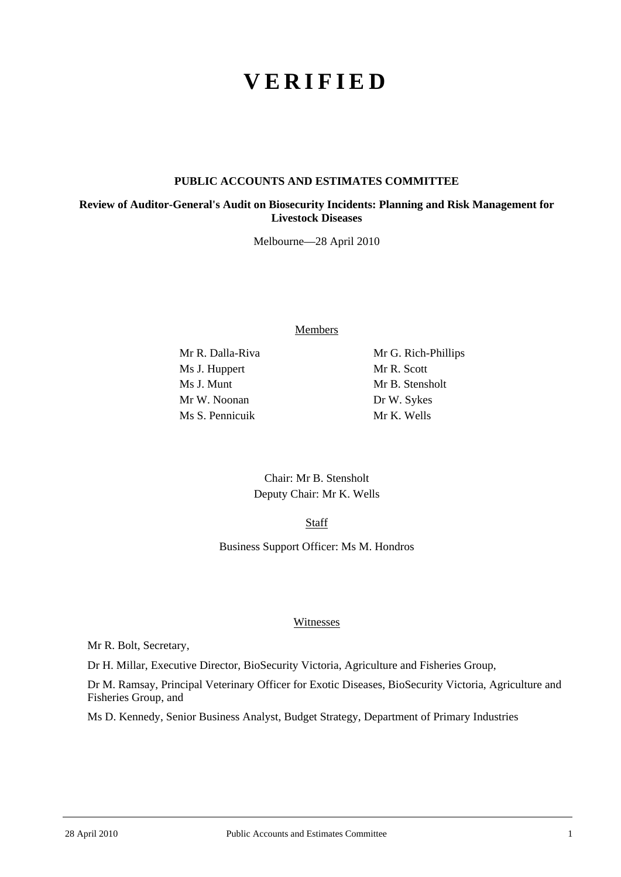# **VERIFIED**

#### **PUBLIC ACCOUNTS AND ESTIMATES COMMITTEE**

**Review of Auditor-General's Audit on Biosecurity Incidents: Planning and Risk Management for Livestock Diseases** 

Melbourne—28 April 2010

Members

Ms J. Huppert Mr R. Scott Ms J. Munt Mr B. Stensholt Mr W. Noonan Dr W. Sykes Ms S. Pennicuik Mr K. Wells

Mr R. Dalla-Riva Mr G. Rich-Phillips

Chair: Mr B. Stensholt Deputy Chair: Mr K. Wells

**Staff** 

Business Support Officer: Ms M. Hondros

# Witnesses

Mr R. Bolt, Secretary,

Dr H. Millar, Executive Director, BioSecurity Victoria, Agriculture and Fisheries Group,

Dr M. Ramsay, Principal Veterinary Officer for Exotic Diseases, BioSecurity Victoria, Agriculture and Fisheries Group, and

Ms D. Kennedy, Senior Business Analyst, Budget Strategy, Department of Primary Industries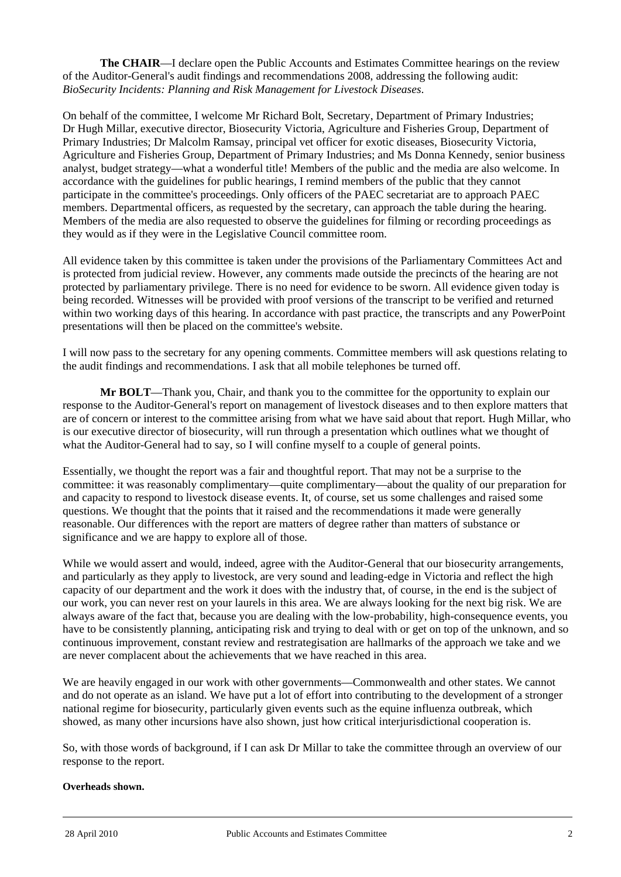**The CHAIR**—I declare open the Public Accounts and Estimates Committee hearings on the review of the Auditor-General's audit findings and recommendations 2008, addressing the following audit: *BioSecurity Incidents: Planning and Risk Management for Livestock Diseases*.

On behalf of the committee, I welcome Mr Richard Bolt, Secretary, Department of Primary Industries; Dr Hugh Millar, executive director, Biosecurity Victoria, Agriculture and Fisheries Group, Department of Primary Industries; Dr Malcolm Ramsay, principal vet officer for exotic diseases, Biosecurity Victoria, Agriculture and Fisheries Group, Department of Primary Industries; and Ms Donna Kennedy, senior business analyst, budget strategy—what a wonderful title! Members of the public and the media are also welcome. In accordance with the guidelines for public hearings, I remind members of the public that they cannot participate in the committee's proceedings. Only officers of the PAEC secretariat are to approach PAEC members. Departmental officers, as requested by the secretary, can approach the table during the hearing. Members of the media are also requested to observe the guidelines for filming or recording proceedings as they would as if they were in the Legislative Council committee room.

All evidence taken by this committee is taken under the provisions of the Parliamentary Committees Act and is protected from judicial review. However, any comments made outside the precincts of the hearing are not protected by parliamentary privilege. There is no need for evidence to be sworn. All evidence given today is being recorded. Witnesses will be provided with proof versions of the transcript to be verified and returned within two working days of this hearing. In accordance with past practice, the transcripts and any PowerPoint presentations will then be placed on the committee's website.

I will now pass to the secretary for any opening comments. Committee members will ask questions relating to the audit findings and recommendations. I ask that all mobile telephones be turned off.

**Mr BOLT**—Thank you, Chair, and thank you to the committee for the opportunity to explain our response to the Auditor-General's report on management of livestock diseases and to then explore matters that are of concern or interest to the committee arising from what we have said about that report. Hugh Millar, who is our executive director of biosecurity, will run through a presentation which outlines what we thought of what the Auditor-General had to say, so I will confine myself to a couple of general points.

Essentially, we thought the report was a fair and thoughtful report. That may not be a surprise to the committee: it was reasonably complimentary—quite complimentary—about the quality of our preparation for and capacity to respond to livestock disease events. It, of course, set us some challenges and raised some questions. We thought that the points that it raised and the recommendations it made were generally reasonable. Our differences with the report are matters of degree rather than matters of substance or significance and we are happy to explore all of those.

While we would assert and would, indeed, agree with the Auditor-General that our biosecurity arrangements, and particularly as they apply to livestock, are very sound and leading-edge in Victoria and reflect the high capacity of our department and the work it does with the industry that, of course, in the end is the subject of our work, you can never rest on your laurels in this area. We are always looking for the next big risk. We are always aware of the fact that, because you are dealing with the low-probability, high-consequence events, you have to be consistently planning, anticipating risk and trying to deal with or get on top of the unknown, and so continuous improvement, constant review and restrategisation are hallmarks of the approach we take and we are never complacent about the achievements that we have reached in this area.

We are heavily engaged in our work with other governments—Commonwealth and other states. We cannot and do not operate as an island. We have put a lot of effort into contributing to the development of a stronger national regime for biosecurity, particularly given events such as the equine influenza outbreak, which showed, as many other incursions have also shown, just how critical interjurisdictional cooperation is.

So, with those words of background, if I can ask Dr Millar to take the committee through an overview of our response to the report.

#### **Overheads shown.**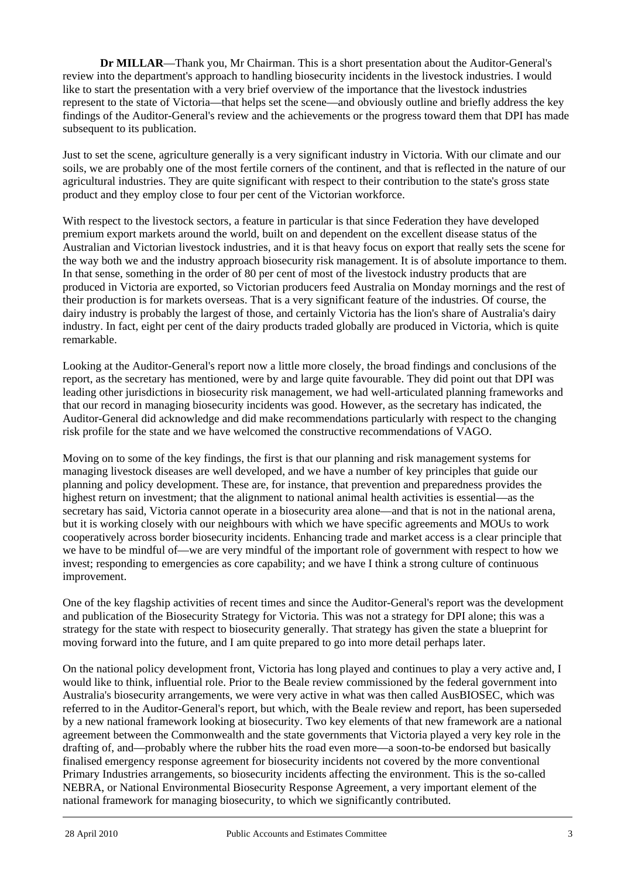**Dr MILLAR**—Thank you, Mr Chairman. This is a short presentation about the Auditor-General's review into the department's approach to handling biosecurity incidents in the livestock industries. I would like to start the presentation with a very brief overview of the importance that the livestock industries represent to the state of Victoria—that helps set the scene—and obviously outline and briefly address the key findings of the Auditor-General's review and the achievements or the progress toward them that DPI has made subsequent to its publication.

Just to set the scene, agriculture generally is a very significant industry in Victoria. With our climate and our soils, we are probably one of the most fertile corners of the continent, and that is reflected in the nature of our agricultural industries. They are quite significant with respect to their contribution to the state's gross state product and they employ close to four per cent of the Victorian workforce.

With respect to the livestock sectors, a feature in particular is that since Federation they have developed premium export markets around the world, built on and dependent on the excellent disease status of the Australian and Victorian livestock industries, and it is that heavy focus on export that really sets the scene for the way both we and the industry approach biosecurity risk management. It is of absolute importance to them. In that sense, something in the order of 80 per cent of most of the livestock industry products that are produced in Victoria are exported, so Victorian producers feed Australia on Monday mornings and the rest of their production is for markets overseas. That is a very significant feature of the industries. Of course, the dairy industry is probably the largest of those, and certainly Victoria has the lion's share of Australia's dairy industry. In fact, eight per cent of the dairy products traded globally are produced in Victoria, which is quite remarkable.

Looking at the Auditor-General's report now a little more closely, the broad findings and conclusions of the report, as the secretary has mentioned, were by and large quite favourable. They did point out that DPI was leading other jurisdictions in biosecurity risk management, we had well-articulated planning frameworks and that our record in managing biosecurity incidents was good. However, as the secretary has indicated, the Auditor-General did acknowledge and did make recommendations particularly with respect to the changing risk profile for the state and we have welcomed the constructive recommendations of VAGO.

Moving on to some of the key findings, the first is that our planning and risk management systems for managing livestock diseases are well developed, and we have a number of key principles that guide our planning and policy development. These are, for instance, that prevention and preparedness provides the highest return on investment; that the alignment to national animal health activities is essential—as the secretary has said, Victoria cannot operate in a biosecurity area alone—and that is not in the national arena, but it is working closely with our neighbours with which we have specific agreements and MOUs to work cooperatively across border biosecurity incidents. Enhancing trade and market access is a clear principle that we have to be mindful of—we are very mindful of the important role of government with respect to how we invest; responding to emergencies as core capability; and we have I think a strong culture of continuous improvement.

One of the key flagship activities of recent times and since the Auditor-General's report was the development and publication of the Biosecurity Strategy for Victoria. This was not a strategy for DPI alone; this was a strategy for the state with respect to biosecurity generally. That strategy has given the state a blueprint for moving forward into the future, and I am quite prepared to go into more detail perhaps later.

l On the national policy development front, Victoria has long played and continues to play a very active and, I would like to think, influential role. Prior to the Beale review commissioned by the federal government into Australia's biosecurity arrangements, we were very active in what was then called AusBIOSEC, which was referred to in the Auditor-General's report, but which, with the Beale review and report, has been superseded by a new national framework looking at biosecurity. Two key elements of that new framework are a national agreement between the Commonwealth and the state governments that Victoria played a very key role in the drafting of, and—probably where the rubber hits the road even more—a soon-to-be endorsed but basically finalised emergency response agreement for biosecurity incidents not covered by the more conventional Primary Industries arrangements, so biosecurity incidents affecting the environment. This is the so-called NEBRA, or National Environmental Biosecurity Response Agreement, a very important element of the national framework for managing biosecurity, to which we significantly contributed.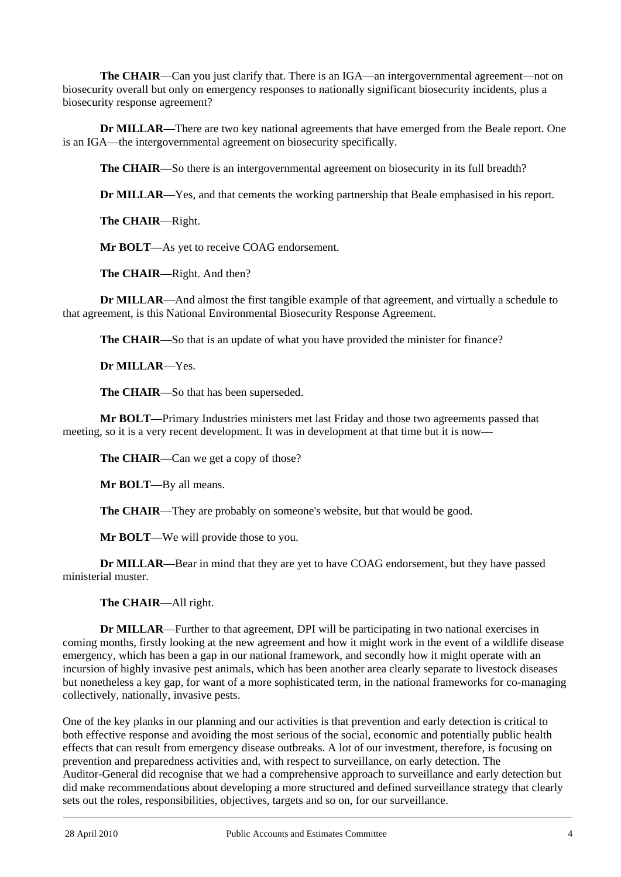**The CHAIR**—Can you just clarify that. There is an IGA—an intergovernmental agreement—not on biosecurity overall but only on emergency responses to nationally significant biosecurity incidents, plus a biosecurity response agreement?

**Dr MILLAR**—There are two key national agreements that have emerged from the Beale report. One is an IGA—the intergovernmental agreement on biosecurity specifically.

**The CHAIR**—So there is an intergovernmental agreement on biosecurity in its full breadth?

**Dr MILLAR**—Yes, and that cements the working partnership that Beale emphasised in his report.

**The CHAIR**—Right.

**Mr BOLT**—As yet to receive COAG endorsement.

**The CHAIR**—Right. And then?

**Dr MILLAR**—And almost the first tangible example of that agreement, and virtually a schedule to that agreement, is this National Environmental Biosecurity Response Agreement.

**The CHAIR**—So that is an update of what you have provided the minister for finance?

**Dr MILLAR**—Yes.

**The CHAIR**—So that has been superseded.

**Mr BOLT**—Primary Industries ministers met last Friday and those two agreements passed that meeting, so it is a very recent development. It was in development at that time but it is now—

**The CHAIR**—Can we get a copy of those?

**Mr BOLT**—By all means.

**The CHAIR—They are probably on someone's website, but that would be good.** 

**Mr BOLT**—We will provide those to you.

**Dr MILLAR**—Bear in mind that they are yet to have COAG endorsement, but they have passed ministerial muster.

**The CHAIR**—All right.

**Dr MILLAR**—Further to that agreement, DPI will be participating in two national exercises in coming months, firstly looking at the new agreement and how it might work in the event of a wildlife disease emergency, which has been a gap in our national framework, and secondly how it might operate with an incursion of highly invasive pest animals, which has been another area clearly separate to livestock diseases but nonetheless a key gap, for want of a more sophisticated term, in the national frameworks for co-managing collectively, nationally, invasive pests.

l One of the key planks in our planning and our activities is that prevention and early detection is critical to both effective response and avoiding the most serious of the social, economic and potentially public health effects that can result from emergency disease outbreaks. A lot of our investment, therefore, is focusing on prevention and preparedness activities and, with respect to surveillance, on early detection. The Auditor-General did recognise that we had a comprehensive approach to surveillance and early detection but did make recommendations about developing a more structured and defined surveillance strategy that clearly sets out the roles, responsibilities, objectives, targets and so on, for our surveillance.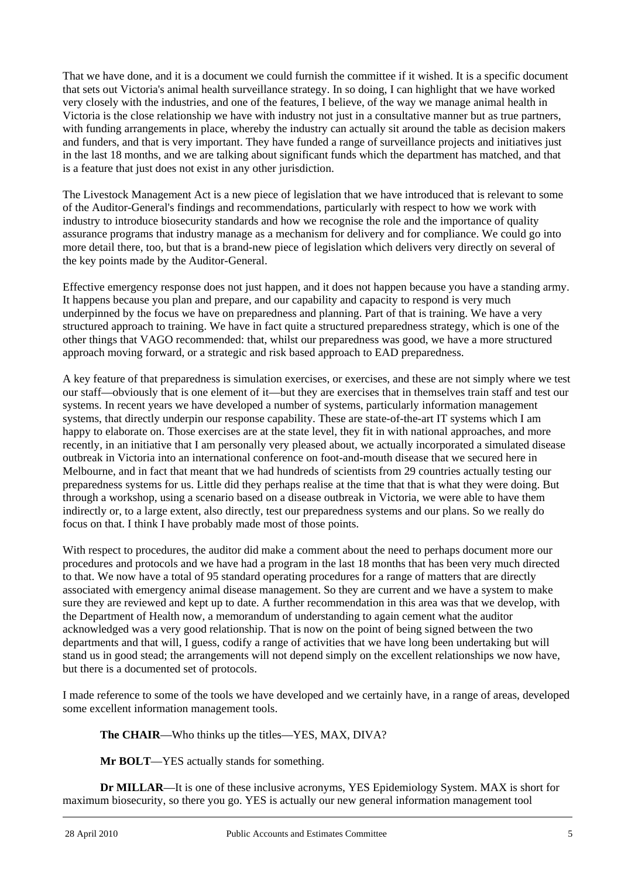That we have done, and it is a document we could furnish the committee if it wished. It is a specific document that sets out Victoria's animal health surveillance strategy. In so doing, I can highlight that we have worked very closely with the industries, and one of the features, I believe, of the way we manage animal health in Victoria is the close relationship we have with industry not just in a consultative manner but as true partners, with funding arrangements in place, whereby the industry can actually sit around the table as decision makers and funders, and that is very important. They have funded a range of surveillance projects and initiatives just in the last 18 months, and we are talking about significant funds which the department has matched, and that is a feature that just does not exist in any other jurisdiction.

The Livestock Management Act is a new piece of legislation that we have introduced that is relevant to some of the Auditor-General's findings and recommendations, particularly with respect to how we work with industry to introduce biosecurity standards and how we recognise the role and the importance of quality assurance programs that industry manage as a mechanism for delivery and for compliance. We could go into more detail there, too, but that is a brand-new piece of legislation which delivers very directly on several of the key points made by the Auditor-General.

Effective emergency response does not just happen, and it does not happen because you have a standing army. It happens because you plan and prepare, and our capability and capacity to respond is very much underpinned by the focus we have on preparedness and planning. Part of that is training. We have a very structured approach to training. We have in fact quite a structured preparedness strategy, which is one of the other things that VAGO recommended: that, whilst our preparedness was good, we have a more structured approach moving forward, or a strategic and risk based approach to EAD preparedness.

A key feature of that preparedness is simulation exercises, or exercises, and these are not simply where we test our staff—obviously that is one element of it—but they are exercises that in themselves train staff and test our systems. In recent years we have developed a number of systems, particularly information management systems, that directly underpin our response capability. These are state-of-the-art IT systems which I am happy to elaborate on. Those exercises are at the state level, they fit in with national approaches, and more recently, in an initiative that I am personally very pleased about, we actually incorporated a simulated disease outbreak in Victoria into an international conference on foot-and-mouth disease that we secured here in Melbourne, and in fact that meant that we had hundreds of scientists from 29 countries actually testing our preparedness systems for us. Little did they perhaps realise at the time that that is what they were doing. But through a workshop, using a scenario based on a disease outbreak in Victoria, we were able to have them indirectly or, to a large extent, also directly, test our preparedness systems and our plans. So we really do focus on that. I think I have probably made most of those points.

With respect to procedures, the auditor did make a comment about the need to perhaps document more our procedures and protocols and we have had a program in the last 18 months that has been very much directed to that. We now have a total of 95 standard operating procedures for a range of matters that are directly associated with emergency animal disease management. So they are current and we have a system to make sure they are reviewed and kept up to date. A further recommendation in this area was that we develop, with the Department of Health now, a memorandum of understanding to again cement what the auditor acknowledged was a very good relationship. That is now on the point of being signed between the two departments and that will, I guess, codify a range of activities that we have long been undertaking but will stand us in good stead; the arrangements will not depend simply on the excellent relationships we now have, but there is a documented set of protocols.

I made reference to some of the tools we have developed and we certainly have, in a range of areas, developed some excellent information management tools.

**The CHAIR**—Who thinks up the titles—YES, MAX, DIVA?

**Mr BOLT**—YES actually stands for something.

l **Dr MILLAR**—It is one of these inclusive acronyms, YES Epidemiology System. MAX is short for maximum biosecurity, so there you go. YES is actually our new general information management tool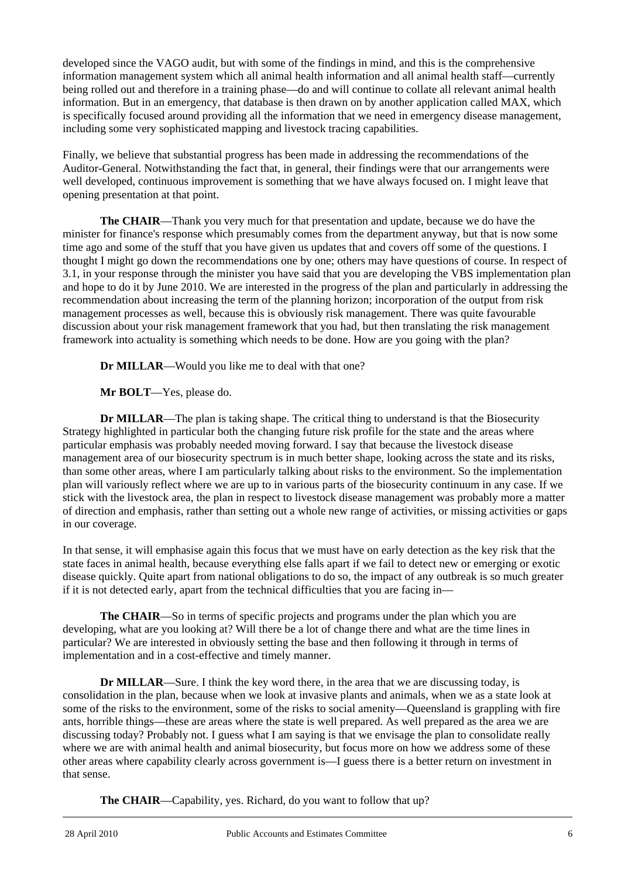developed since the VAGO audit, but with some of the findings in mind, and this is the comprehensive information management system which all animal health information and all animal health staff—currently being rolled out and therefore in a training phase—do and will continue to collate all relevant animal health information. But in an emergency, that database is then drawn on by another application called MAX, which is specifically focused around providing all the information that we need in emergency disease management, including some very sophisticated mapping and livestock tracing capabilities.

Finally, we believe that substantial progress has been made in addressing the recommendations of the Auditor-General. Notwithstanding the fact that, in general, their findings were that our arrangements were well developed, continuous improvement is something that we have always focused on. I might leave that opening presentation at that point.

**The CHAIR**—Thank you very much for that presentation and update, because we do have the minister for finance's response which presumably comes from the department anyway, but that is now some time ago and some of the stuff that you have given us updates that and covers off some of the questions. I thought I might go down the recommendations one by one; others may have questions of course. In respect of 3.1, in your response through the minister you have said that you are developing the VBS implementation plan and hope to do it by June 2010. We are interested in the progress of the plan and particularly in addressing the recommendation about increasing the term of the planning horizon; incorporation of the output from risk management processes as well, because this is obviously risk management. There was quite favourable discussion about your risk management framework that you had, but then translating the risk management framework into actuality is something which needs to be done. How are you going with the plan?

**Dr MILLAR**—Would you like me to deal with that one?

**Mr BOLT**—Yes, please do.

**Dr MILLAR—The plan is taking shape. The critical thing to understand is that the Biosecurity** Strategy highlighted in particular both the changing future risk profile for the state and the areas where particular emphasis was probably needed moving forward. I say that because the livestock disease management area of our biosecurity spectrum is in much better shape, looking across the state and its risks, than some other areas, where I am particularly talking about risks to the environment. So the implementation plan will variously reflect where we are up to in various parts of the biosecurity continuum in any case. If we stick with the livestock area, the plan in respect to livestock disease management was probably more a matter of direction and emphasis, rather than setting out a whole new range of activities, or missing activities or gaps in our coverage.

In that sense, it will emphasise again this focus that we must have on early detection as the key risk that the state faces in animal health, because everything else falls apart if we fail to detect new or emerging or exotic disease quickly. Quite apart from national obligations to do so, the impact of any outbreak is so much greater if it is not detected early, apart from the technical difficulties that you are facing in—

**The CHAIR**—So in terms of specific projects and programs under the plan which you are developing, what are you looking at? Will there be a lot of change there and what are the time lines in particular? We are interested in obviously setting the base and then following it through in terms of implementation and in a cost-effective and timely manner.

**Dr MILLAR**—Sure. I think the key word there, in the area that we are discussing today, is consolidation in the plan, because when we look at invasive plants and animals, when we as a state look at some of the risks to the environment, some of the risks to social amenity—Queensland is grappling with fire ants, horrible things—these are areas where the state is well prepared. As well prepared as the area we are discussing today? Probably not. I guess what I am saying is that we envisage the plan to consolidate really where we are with animal health and animal biosecurity, but focus more on how we address some of these other areas where capability clearly across government is—I guess there is a better return on investment in that sense.

**The CHAIR**—Capability, yes. Richard, do you want to follow that up?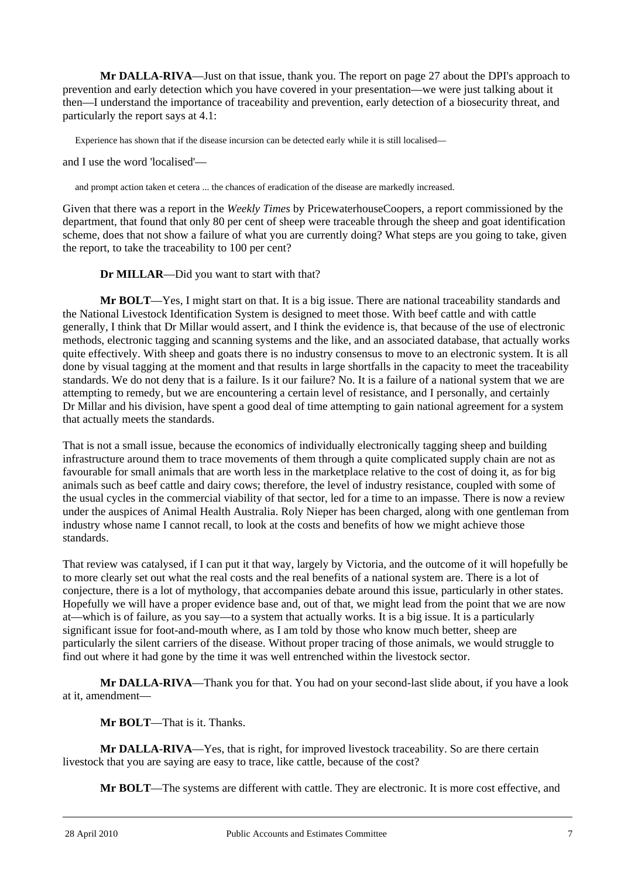**Mr DALLA-RIVA**—Just on that issue, thank you. The report on page 27 about the DPI's approach to prevention and early detection which you have covered in your presentation—we were just talking about it then—I understand the importance of traceability and prevention, early detection of a biosecurity threat, and particularly the report says at 4.1:

Experience has shown that if the disease incursion can be detected early while it is still localised—

and I use the word 'localised'—

and prompt action taken et cetera ... the chances of eradication of the disease are markedly increased.

Given that there was a report in the *Weekly Times* by PricewaterhouseCoopers, a report commissioned by the department, that found that only 80 per cent of sheep were traceable through the sheep and goat identification scheme, does that not show a failure of what you are currently doing? What steps are you going to take, given the report, to take the traceability to 100 per cent?

**Dr MILLAR**—Did you want to start with that?

**Mr BOLT**—Yes, I might start on that. It is a big issue. There are national traceability standards and the National Livestock Identification System is designed to meet those. With beef cattle and with cattle generally, I think that Dr Millar would assert, and I think the evidence is, that because of the use of electronic methods, electronic tagging and scanning systems and the like, and an associated database, that actually works quite effectively. With sheep and goats there is no industry consensus to move to an electronic system. It is all done by visual tagging at the moment and that results in large shortfalls in the capacity to meet the traceability standards. We do not deny that is a failure. Is it our failure? No. It is a failure of a national system that we are attempting to remedy, but we are encountering a certain level of resistance, and I personally, and certainly Dr Millar and his division, have spent a good deal of time attempting to gain national agreement for a system that actually meets the standards.

That is not a small issue, because the economics of individually electronically tagging sheep and building infrastructure around them to trace movements of them through a quite complicated supply chain are not as favourable for small animals that are worth less in the marketplace relative to the cost of doing it, as for big animals such as beef cattle and dairy cows; therefore, the level of industry resistance, coupled with some of the usual cycles in the commercial viability of that sector, led for a time to an impasse. There is now a review under the auspices of Animal Health Australia. Roly Nieper has been charged, along with one gentleman from industry whose name I cannot recall, to look at the costs and benefits of how we might achieve those standards.

That review was catalysed, if I can put it that way, largely by Victoria, and the outcome of it will hopefully be to more clearly set out what the real costs and the real benefits of a national system are. There is a lot of conjecture, there is a lot of mythology, that accompanies debate around this issue, particularly in other states. Hopefully we will have a proper evidence base and, out of that, we might lead from the point that we are now at—which is of failure, as you say—to a system that actually works. It is a big issue. It is a particularly significant issue for foot-and-mouth where, as I am told by those who know much better, sheep are particularly the silent carriers of the disease. Without proper tracing of those animals, we would struggle to find out where it had gone by the time it was well entrenched within the livestock sector.

**Mr DALLA-RIVA**—Thank you for that. You had on your second-last slide about, if you have a look at it, amendment—

**Mr BOLT**—That is it. Thanks.

**Mr DALLA-RIVA**—Yes, that is right, for improved livestock traceability. So are there certain livestock that you are saying are easy to trace, like cattle, because of the cost?

**Mr BOLT**—The systems are different with cattle. They are electronic. It is more cost effective, and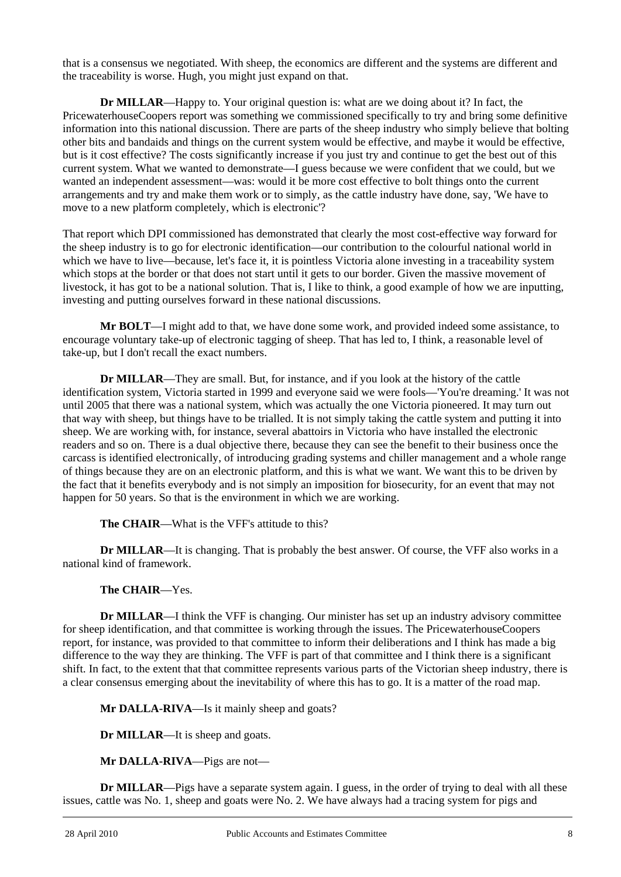that is a consensus we negotiated. With sheep, the economics are different and the systems are different and the traceability is worse. Hugh, you might just expand on that.

**Dr MILLAR**—Happy to. Your original question is: what are we doing about it? In fact, the PricewaterhouseCoopers report was something we commissioned specifically to try and bring some definitive information into this national discussion. There are parts of the sheep industry who simply believe that bolting other bits and bandaids and things on the current system would be effective, and maybe it would be effective, but is it cost effective? The costs significantly increase if you just try and continue to get the best out of this current system. What we wanted to demonstrate—I guess because we were confident that we could, but we wanted an independent assessment—was: would it be more cost effective to bolt things onto the current arrangements and try and make them work or to simply, as the cattle industry have done, say, 'We have to move to a new platform completely, which is electronic'?

That report which DPI commissioned has demonstrated that clearly the most cost-effective way forward for the sheep industry is to go for electronic identification—our contribution to the colourful national world in which we have to live—because, let's face it, it is pointless Victoria alone investing in a traceability system which stops at the border or that does not start until it gets to our border. Given the massive movement of livestock, it has got to be a national solution. That is, I like to think, a good example of how we are inputting, investing and putting ourselves forward in these national discussions.

**Mr BOLT**—I might add to that, we have done some work, and provided indeed some assistance, to encourage voluntary take-up of electronic tagging of sheep. That has led to, I think, a reasonable level of take-up, but I don't recall the exact numbers.

**Dr MILLAR**—They are small. But, for instance, and if you look at the history of the cattle identification system, Victoria started in 1999 and everyone said we were fools—'You're dreaming.' It was not until 2005 that there was a national system, which was actually the one Victoria pioneered. It may turn out that way with sheep, but things have to be trialled. It is not simply taking the cattle system and putting it into sheep. We are working with, for instance, several abattoirs in Victoria who have installed the electronic readers and so on. There is a dual objective there, because they can see the benefit to their business once the carcass is identified electronically, of introducing grading systems and chiller management and a whole range of things because they are on an electronic platform, and this is what we want. We want this to be driven by the fact that it benefits everybody and is not simply an imposition for biosecurity, for an event that may not happen for 50 years. So that is the environment in which we are working.

**The CHAIR—What is the VFF's attitude to this?** 

**Dr MILLAR**—It is changing. That is probably the best answer. Of course, the VFF also works in a national kind of framework.

# **The CHAIR**—Yes.

**Dr MILLAR—I** think the VFF is changing. Our minister has set up an industry advisory committee for sheep identification, and that committee is working through the issues. The PricewaterhouseCoopers report, for instance, was provided to that committee to inform their deliberations and I think has made a big difference to the way they are thinking. The VFF is part of that committee and I think there is a significant shift. In fact, to the extent that that committee represents various parts of the Victorian sheep industry, there is a clear consensus emerging about the inevitability of where this has to go. It is a matter of the road map.

**Mr DALLA-RIVA**—Is it mainly sheep and goats?

**Dr MILLAR**—It is sheep and goats.

**Mr DALLA-RIVA**—Pigs are not—

l **Dr MILLAR—Pigs have a separate system again.** I guess, in the order of trying to deal with all these issues, cattle was No. 1, sheep and goats were No. 2. We have always had a tracing system for pigs and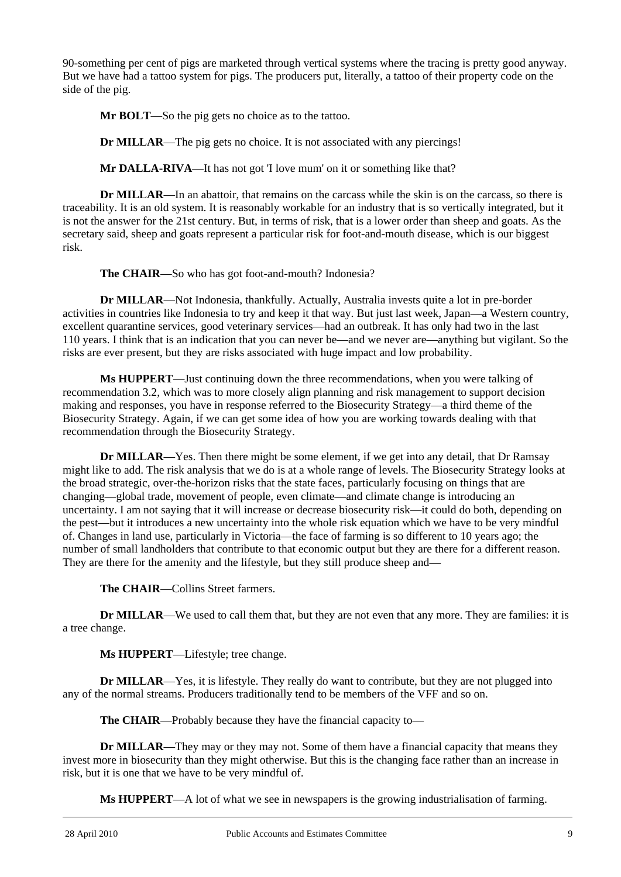90-something per cent of pigs are marketed through vertical systems where the tracing is pretty good anyway. But we have had a tattoo system for pigs. The producers put, literally, a tattoo of their property code on the side of the pig.

**Mr BOLT**—So the pig gets no choice as to the tattoo.

**Dr MILLAR**—The pig gets no choice. It is not associated with any piercings!

**Mr DALLA-RIVA**—It has not got 'I love mum' on it or something like that?

**Dr MILLAR—In an abattoir, that remains on the carcass while the skin is on the carcass, so there is** traceability. It is an old system. It is reasonably workable for an industry that is so vertically integrated, but it is not the answer for the 21st century. But, in terms of risk, that is a lower order than sheep and goats. As the secretary said, sheep and goats represent a particular risk for foot-and-mouth disease, which is our biggest risk.

**The CHAIR**—So who has got foot-and-mouth? Indonesia?

**Dr MILLAR**—Not Indonesia, thankfully. Actually, Australia invests quite a lot in pre-border activities in countries like Indonesia to try and keep it that way. But just last week, Japan—a Western country, excellent quarantine services, good veterinary services—had an outbreak. It has only had two in the last 110 years. I think that is an indication that you can never be—and we never are—anything but vigilant. So the risks are ever present, but they are risks associated with huge impact and low probability.

**Ms HUPPERT**—Just continuing down the three recommendations, when you were talking of recommendation 3.2, which was to more closely align planning and risk management to support decision making and responses, you have in response referred to the Biosecurity Strategy—a third theme of the Biosecurity Strategy. Again, if we can get some idea of how you are working towards dealing with that recommendation through the Biosecurity Strategy.

**Dr MILLAR**—Yes. Then there might be some element, if we get into any detail, that Dr Ramsay might like to add. The risk analysis that we do is at a whole range of levels. The Biosecurity Strategy looks at the broad strategic, over-the-horizon risks that the state faces, particularly focusing on things that are changing—global trade, movement of people, even climate—and climate change is introducing an uncertainty. I am not saying that it will increase or decrease biosecurity risk—it could do both, depending on the pest—but it introduces a new uncertainty into the whole risk equation which we have to be very mindful of. Changes in land use, particularly in Victoria—the face of farming is so different to 10 years ago; the number of small landholders that contribute to that economic output but they are there for a different reason. They are there for the amenity and the lifestyle, but they still produce sheep and—

**The CHAIR**—Collins Street farmers.

**Dr MILLAR**—We used to call them that, but they are not even that any more. They are families: it is a tree change.

**Ms HUPPERT**—Lifestyle; tree change.

**Dr MILLAR—Yes, it is lifestyle. They really do want to contribute, but they are not plugged into** any of the normal streams. Producers traditionally tend to be members of the VFF and so on.

**The CHAIR**—Probably because they have the financial capacity to—

**Dr MILLAR—They may or they may not. Some of them have a financial capacity that means they** invest more in biosecurity than they might otherwise. But this is the changing face rather than an increase in risk, but it is one that we have to be very mindful of.

**Ms HUPPERT**—A lot of what we see in newspapers is the growing industrialisation of farming.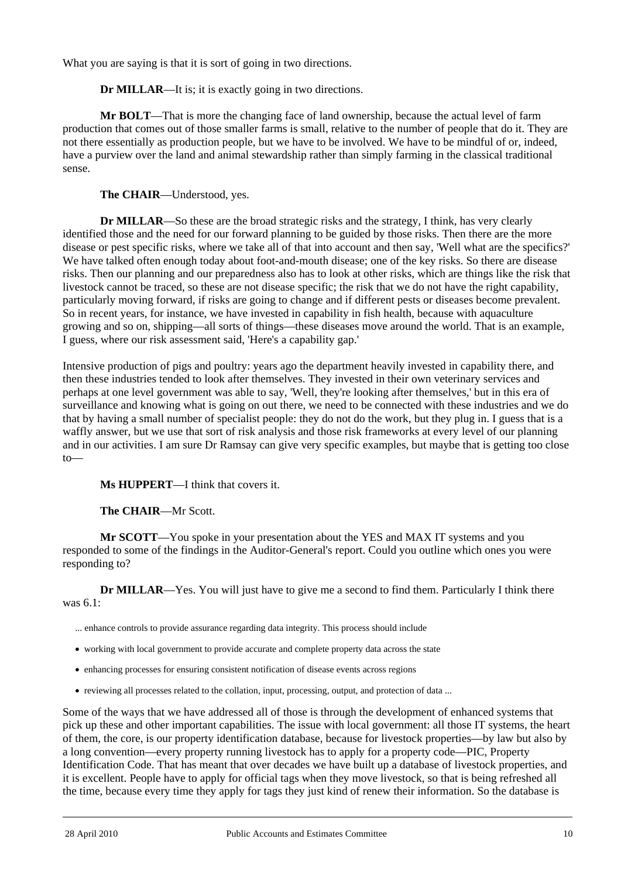What you are saying is that it is sort of going in two directions.

**Dr MILLAR**—It is; it is exactly going in two directions.

**Mr BOLT**—That is more the changing face of land ownership, because the actual level of farm production that comes out of those smaller farms is small, relative to the number of people that do it. They are not there essentially as production people, but we have to be involved. We have to be mindful of or, indeed, have a purview over the land and animal stewardship rather than simply farming in the classical traditional sense.

**The CHAIR**—Understood, yes.

**Dr MILLAR**—So these are the broad strategic risks and the strategy, I think, has very clearly identified those and the need for our forward planning to be guided by those risks. Then there are the more disease or pest specific risks, where we take all of that into account and then say, 'Well what are the specifics?' We have talked often enough today about foot-and-mouth disease; one of the key risks. So there are disease risks. Then our planning and our preparedness also has to look at other risks, which are things like the risk that livestock cannot be traced, so these are not disease specific; the risk that we do not have the right capability, particularly moving forward, if risks are going to change and if different pests or diseases become prevalent. So in recent years, for instance, we have invested in capability in fish health, because with aquaculture growing and so on, shipping—all sorts of things—these diseases move around the world. That is an example, I guess, where our risk assessment said, 'Here's a capability gap.'

Intensive production of pigs and poultry: years ago the department heavily invested in capability there, and then these industries tended to look after themselves. They invested in their own veterinary services and perhaps at one level government was able to say, 'Well, they're looking after themselves,' but in this era of surveillance and knowing what is going on out there, we need to be connected with these industries and we do that by having a small number of specialist people: they do not do the work, but they plug in. I guess that is a waffly answer, but we use that sort of risk analysis and those risk frameworks at every level of our planning and in our activities. I am sure Dr Ramsay can give very specific examples, but maybe that is getting too close to—

**Ms HUPPERT**—I think that covers it.

**The CHAIR**—Mr Scott.

**Mr SCOTT**—You spoke in your presentation about the YES and MAX IT systems and you responded to some of the findings in the Auditor-General's report. Could you outline which ones you were responding to?

**Dr MILLAR—Yes.** You will just have to give me a second to find them. Particularly I think there was 6.1:

... enhance controls to provide assurance regarding data integrity. This process should include

- working with local government to provide accurate and complete property data across the state
- enhancing processes for ensuring consistent notification of disease events across regions
- reviewing all processes related to the collation, input, processing, output, and protection of data ...

Some of the ways that we have addressed all of those is through the development of enhanced systems that pick up these and other important capabilities. The issue with local government: all those IT systems, the heart of them, the core, is our property identification database, because for livestock properties—by law but also by a long convention—every property running livestock has to apply for a property code—PIC, Property Identification Code. That has meant that over decades we have built up a database of livestock properties, and it is excellent. People have to apply for official tags when they move livestock, so that is being refreshed all the time, because every time they apply for tags they just kind of renew their information. So the database is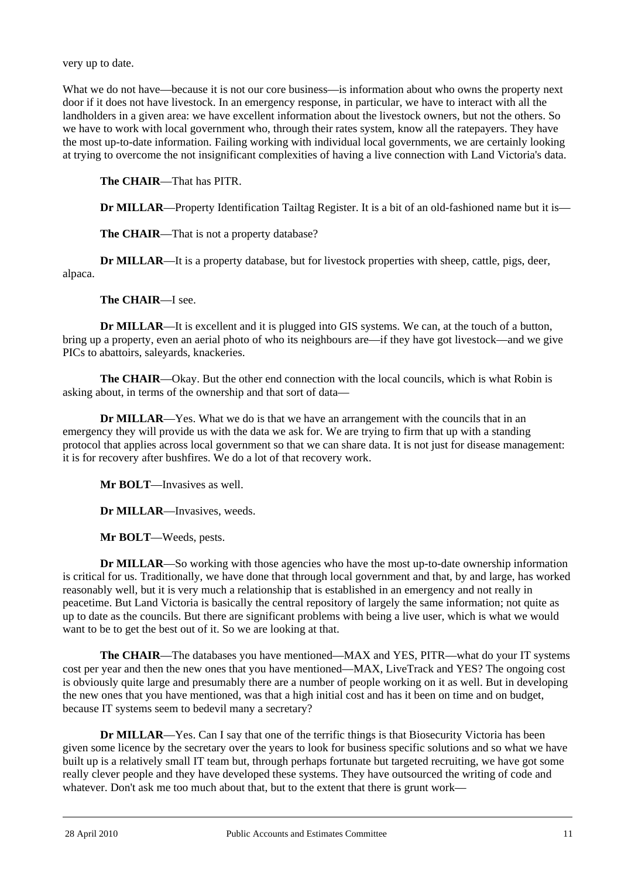very up to date.

What we do not have—because it is not our core business—is information about who owns the property next door if it does not have livestock. In an emergency response, in particular, we have to interact with all the landholders in a given area: we have excellent information about the livestock owners, but not the others. So we have to work with local government who, through their rates system, know all the ratepayers. They have the most up-to-date information. Failing working with individual local governments, we are certainly looking at trying to overcome the not insignificant complexities of having a live connection with Land Victoria's data.

**The CHAIR**—That has PITR.

**Dr MILLAR—Property Identification Tailtag Register. It is a bit of an old-fashioned name but it is—** 

**The CHAIR**—That is not a property database?

**Dr MILLAR—It** is a property database, but for livestock properties with sheep, cattle, pigs, deer, alpaca.

**The CHAIR**—I see.

**Dr MILLAR**—It is excellent and it is plugged into GIS systems. We can, at the touch of a button, bring up a property, even an aerial photo of who its neighbours are—if they have got livestock—and we give PICs to abattoirs, saleyards, knackeries.

**The CHAIR**—Okay. But the other end connection with the local councils, which is what Robin is asking about, in terms of the ownership and that sort of data—

**Dr MILLAR—Yes.** What we do is that we have an arrangement with the councils that in an emergency they will provide us with the data we ask for. We are trying to firm that up with a standing protocol that applies across local government so that we can share data. It is not just for disease management: it is for recovery after bushfires. We do a lot of that recovery work.

**Mr BOLT**—Invasives as well.

**Dr MILLAR**—Invasives, weeds.

**Mr BOLT**—Weeds, pests.

**Dr MILLAR**—So working with those agencies who have the most up-to-date ownership information is critical for us. Traditionally, we have done that through local government and that, by and large, has worked reasonably well, but it is very much a relationship that is established in an emergency and not really in peacetime. But Land Victoria is basically the central repository of largely the same information; not quite as up to date as the councils. But there are significant problems with being a live user, which is what we would want to be to get the best out of it. So we are looking at that.

**The CHAIR**—The databases you have mentioned—MAX and YES, PITR—what do your IT systems cost per year and then the new ones that you have mentioned—MAX, LiveTrack and YES? The ongoing cost is obviously quite large and presumably there are a number of people working on it as well. But in developing the new ones that you have mentioned, was that a high initial cost and has it been on time and on budget, because IT systems seem to bedevil many a secretary?

**Dr MILLAR**—Yes. Can I say that one of the terrific things is that Biosecurity Victoria has been given some licence by the secretary over the years to look for business specific solutions and so what we have built up is a relatively small IT team but, through perhaps fortunate but targeted recruiting, we have got some really clever people and they have developed these systems. They have outsourced the writing of code and whatever. Don't ask me too much about that, but to the extent that there is grunt work—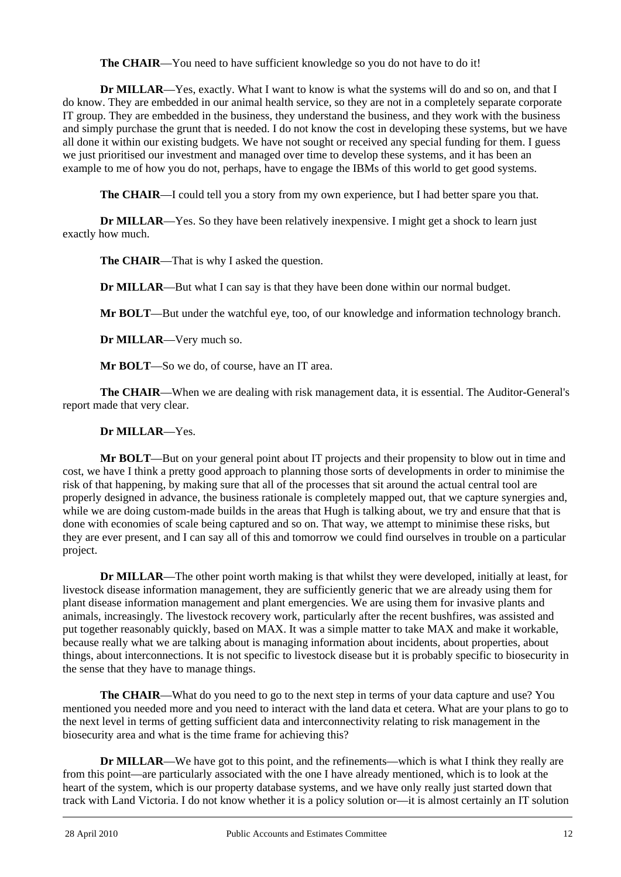The CHAIR—You need to have sufficient knowledge so you do not have to do it!

**Dr MILLAR—Yes, exactly. What I want to know is what the systems will do and so on, and that I** do know. They are embedded in our animal health service, so they are not in a completely separate corporate IT group. They are embedded in the business, they understand the business, and they work with the business and simply purchase the grunt that is needed. I do not know the cost in developing these systems, but we have all done it within our existing budgets. We have not sought or received any special funding for them. I guess we just prioritised our investment and managed over time to develop these systems, and it has been an example to me of how you do not, perhaps, have to engage the IBMs of this world to get good systems.

**The CHAIR**—I could tell you a story from my own experience, but I had better spare you that.

**Dr MILLAR**—Yes. So they have been relatively inexpensive. I might get a shock to learn just exactly how much.

**The CHAIR—That is why I asked the question.** 

**Dr MILLAR—But what I can say is that they have been done within our normal budget.** 

**Mr BOLT**—But under the watchful eye, too, of our knowledge and information technology branch.

**Dr MILLAR**—Very much so.

**Mr BOLT**—So we do, of course, have an IT area.

**The CHAIR**—When we are dealing with risk management data, it is essential. The Auditor-General's report made that very clear.

# **Dr MILLAR**—Yes.

**Mr BOLT**—But on your general point about IT projects and their propensity to blow out in time and cost, we have I think a pretty good approach to planning those sorts of developments in order to minimise the risk of that happening, by making sure that all of the processes that sit around the actual central tool are properly designed in advance, the business rationale is completely mapped out, that we capture synergies and, while we are doing custom-made builds in the areas that Hugh is talking about, we try and ensure that that is done with economies of scale being captured and so on. That way, we attempt to minimise these risks, but they are ever present, and I can say all of this and tomorrow we could find ourselves in trouble on a particular project.

**Dr MILLAR**—The other point worth making is that whilst they were developed, initially at least, for livestock disease information management, they are sufficiently generic that we are already using them for plant disease information management and plant emergencies. We are using them for invasive plants and animals, increasingly. The livestock recovery work, particularly after the recent bushfires, was assisted and put together reasonably quickly, based on MAX. It was a simple matter to take MAX and make it workable, because really what we are talking about is managing information about incidents, about properties, about things, about interconnections. It is not specific to livestock disease but it is probably specific to biosecurity in the sense that they have to manage things.

**The CHAIR**—What do you need to go to the next step in terms of your data capture and use? You mentioned you needed more and you need to interact with the land data et cetera. What are your plans to go to the next level in terms of getting sufficient data and interconnectivity relating to risk management in the biosecurity area and what is the time frame for achieving this?

l **Dr MILLAR**—We have got to this point, and the refinements—which is what I think they really are from this point—are particularly associated with the one I have already mentioned, which is to look at the heart of the system, which is our property database systems, and we have only really just started down that track with Land Victoria. I do not know whether it is a policy solution or—it is almost certainly an IT solution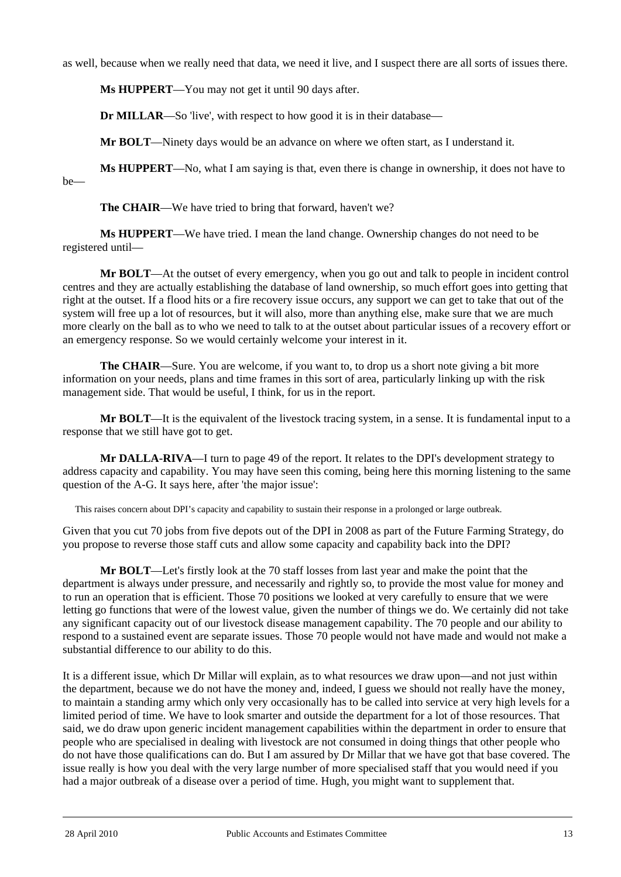as well, because when we really need that data, we need it live, and I suspect there are all sorts of issues there.

**Ms HUPPERT**—You may not get it until 90 days after.

**Dr MILLAR**—So 'live', with respect to how good it is in their database—

**Mr BOLT**—Ninety days would be an advance on where we often start, as I understand it.

**Ms HUPPERT**—No, what I am saying is that, even there is change in ownership, it does not have to be—

**The CHAIR—We** have tried to bring that forward, haven't we?

**Ms HUPPERT**—We have tried. I mean the land change. Ownership changes do not need to be registered until—

**Mr BOLT**—At the outset of every emergency, when you go out and talk to people in incident control centres and they are actually establishing the database of land ownership, so much effort goes into getting that right at the outset. If a flood hits or a fire recovery issue occurs, any support we can get to take that out of the system will free up a lot of resources, but it will also, more than anything else, make sure that we are much more clearly on the ball as to who we need to talk to at the outset about particular issues of a recovery effort or an emergency response. So we would certainly welcome your interest in it.

**The CHAIR—Sure.** You are welcome, if you want to, to drop us a short note giving a bit more information on your needs, plans and time frames in this sort of area, particularly linking up with the risk management side. That would be useful, I think, for us in the report.

**Mr BOLT**—It is the equivalent of the livestock tracing system, in a sense. It is fundamental input to a response that we still have got to get.

**Mr DALLA-RIVA**—I turn to page 49 of the report. It relates to the DPI's development strategy to address capacity and capability. You may have seen this coming, being here this morning listening to the same question of the A-G. It says here, after 'the major issue':

This raises concern about DPI's capacity and capability to sustain their response in a prolonged or large outbreak.

Given that you cut 70 jobs from five depots out of the DPI in 2008 as part of the Future Farming Strategy, do you propose to reverse those staff cuts and allow some capacity and capability back into the DPI?

**Mr BOLT**—Let's firstly look at the 70 staff losses from last year and make the point that the department is always under pressure, and necessarily and rightly so, to provide the most value for money and to run an operation that is efficient. Those 70 positions we looked at very carefully to ensure that we were letting go functions that were of the lowest value, given the number of things we do. We certainly did not take any significant capacity out of our livestock disease management capability. The 70 people and our ability to respond to a sustained event are separate issues. Those 70 people would not have made and would not make a substantial difference to our ability to do this.

It is a different issue, which Dr Millar will explain, as to what resources we draw upon—and not just within the department, because we do not have the money and, indeed, I guess we should not really have the money, to maintain a standing army which only very occasionally has to be called into service at very high levels for a limited period of time. We have to look smarter and outside the department for a lot of those resources. That said, we do draw upon generic incident management capabilities within the department in order to ensure that people who are specialised in dealing with livestock are not consumed in doing things that other people who do not have those qualifications can do. But I am assured by Dr Millar that we have got that base covered. The issue really is how you deal with the very large number of more specialised staff that you would need if you had a major outbreak of a disease over a period of time. Hugh, you might want to supplement that.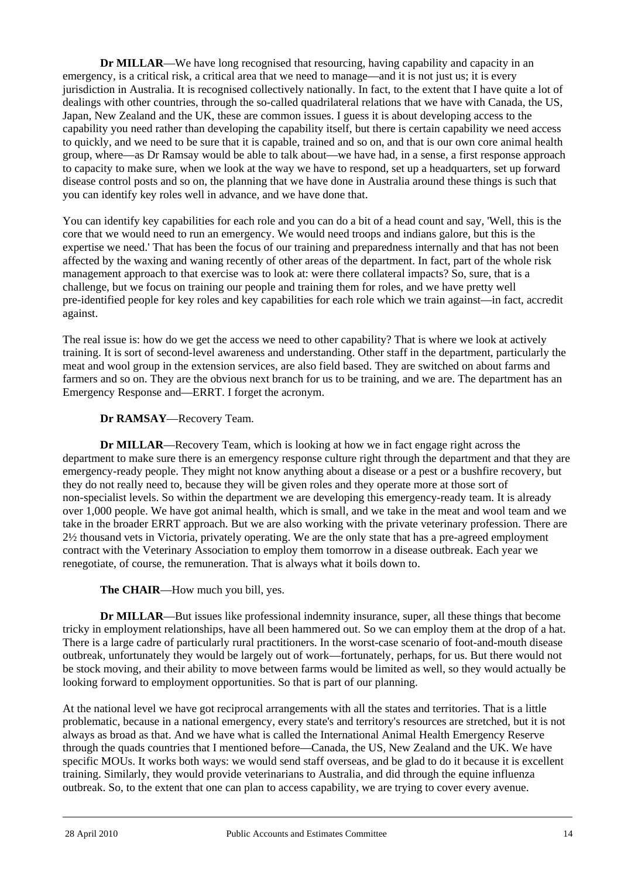**Dr MILLAR**—We have long recognised that resourcing, having capability and capacity in an emergency, is a critical risk, a critical area that we need to manage—and it is not just us; it is every jurisdiction in Australia. It is recognised collectively nationally. In fact, to the extent that I have quite a lot of dealings with other countries, through the so-called quadrilateral relations that we have with Canada, the US, Japan, New Zealand and the UK, these are common issues. I guess it is about developing access to the capability you need rather than developing the capability itself, but there is certain capability we need access to quickly, and we need to be sure that it is capable, trained and so on, and that is our own core animal health group, where—as Dr Ramsay would be able to talk about—we have had, in a sense, a first response approach to capacity to make sure, when we look at the way we have to respond, set up a headquarters, set up forward disease control posts and so on, the planning that we have done in Australia around these things is such that you can identify key roles well in advance, and we have done that.

You can identify key capabilities for each role and you can do a bit of a head count and say, 'Well, this is the core that we would need to run an emergency. We would need troops and indians galore, but this is the expertise we need.' That has been the focus of our training and preparedness internally and that has not been affected by the waxing and waning recently of other areas of the department. In fact, part of the whole risk management approach to that exercise was to look at: were there collateral impacts? So, sure, that is a challenge, but we focus on training our people and training them for roles, and we have pretty well pre-identified people for key roles and key capabilities for each role which we train against—in fact, accredit against.

The real issue is: how do we get the access we need to other capability? That is where we look at actively training. It is sort of second-level awareness and understanding. Other staff in the department, particularly the meat and wool group in the extension services, are also field based. They are switched on about farms and farmers and so on. They are the obvious next branch for us to be training, and we are. The department has an Emergency Response and—ERRT. I forget the acronym.

# **Dr RAMSAY**—Recovery Team.

**Dr MILLAR**—Recovery Team, which is looking at how we in fact engage right across the department to make sure there is an emergency response culture right through the department and that they are emergency-ready people. They might not know anything about a disease or a pest or a bushfire recovery, but they do not really need to, because they will be given roles and they operate more at those sort of non-specialist levels. So within the department we are developing this emergency-ready team. It is already over 1,000 people. We have got animal health, which is small, and we take in the meat and wool team and we take in the broader ERRT approach. But we are also working with the private veterinary profession. There are 2½ thousand vets in Victoria, privately operating. We are the only state that has a pre-agreed employment contract with the Veterinary Association to employ them tomorrow in a disease outbreak. Each year we renegotiate, of course, the remuneration. That is always what it boils down to.

**The CHAIR**—How much you bill, yes.

**Dr MILLAR**—But issues like professional indemnity insurance, super, all these things that become tricky in employment relationships, have all been hammered out. So we can employ them at the drop of a hat. There is a large cadre of particularly rural practitioners. In the worst-case scenario of foot-and-mouth disease outbreak, unfortunately they would be largely out of work—fortunately, perhaps, for us. But there would not be stock moving, and their ability to move between farms would be limited as well, so they would actually be looking forward to employment opportunities. So that is part of our planning.

At the national level we have got reciprocal arrangements with all the states and territories. That is a little problematic, because in a national emergency, every state's and territory's resources are stretched, but it is not always as broad as that. And we have what is called the International Animal Health Emergency Reserve through the quads countries that I mentioned before—Canada, the US, New Zealand and the UK. We have specific MOUs. It works both ways: we would send staff overseas, and be glad to do it because it is excellent training. Similarly, they would provide veterinarians to Australia, and did through the equine influenza outbreak. So, to the extent that one can plan to access capability, we are trying to cover every avenue.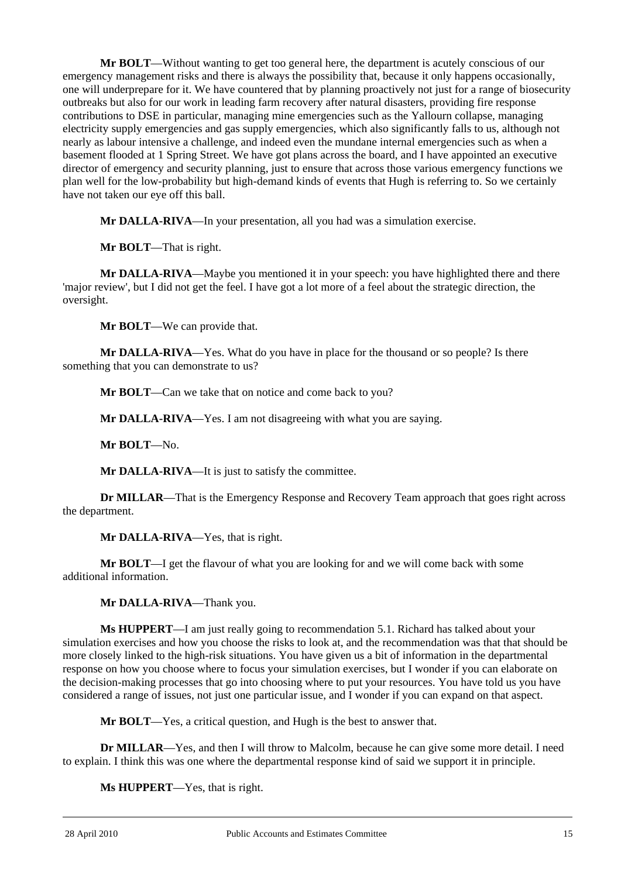**Mr BOLT**—Without wanting to get too general here, the department is acutely conscious of our emergency management risks and there is always the possibility that, because it only happens occasionally, one will underprepare for it. We have countered that by planning proactively not just for a range of biosecurity outbreaks but also for our work in leading farm recovery after natural disasters, providing fire response contributions to DSE in particular, managing mine emergencies such as the Yallourn collapse, managing electricity supply emergencies and gas supply emergencies, which also significantly falls to us, although not nearly as labour intensive a challenge, and indeed even the mundane internal emergencies such as when a basement flooded at 1 Spring Street. We have got plans across the board, and I have appointed an executive director of emergency and security planning, just to ensure that across those various emergency functions we plan well for the low-probability but high-demand kinds of events that Hugh is referring to. So we certainly have not taken our eye off this ball.

**Mr DALLA-RIVA**—In your presentation, all you had was a simulation exercise.

**Mr BOLT**—That is right.

**Mr DALLA-RIVA**—Maybe you mentioned it in your speech: you have highlighted there and there 'major review', but I did not get the feel. I have got a lot more of a feel about the strategic direction, the oversight.

**Mr BOLT**—We can provide that.

**Mr DALLA-RIVA**—Yes. What do you have in place for the thousand or so people? Is there something that you can demonstrate to us?

**Mr BOLT**—Can we take that on notice and come back to you?

**Mr DALLA-RIVA**—Yes. I am not disagreeing with what you are saying.

**Mr BOLT**—No.

**Mr DALLA-RIVA**—It is just to satisfy the committee.

**Dr MILLAR—That is the Emergency Response and Recovery Team approach that goes right across** the department.

**Mr DALLA-RIVA**—Yes, that is right.

**Mr BOLT**—I get the flavour of what you are looking for and we will come back with some additional information.

**Mr DALLA-RIVA**—Thank you.

**Ms HUPPERT**—I am just really going to recommendation 5.1. Richard has talked about your simulation exercises and how you choose the risks to look at, and the recommendation was that that should be more closely linked to the high-risk situations. You have given us a bit of information in the departmental response on how you choose where to focus your simulation exercises, but I wonder if you can elaborate on the decision-making processes that go into choosing where to put your resources. You have told us you have considered a range of issues, not just one particular issue, and I wonder if you can expand on that aspect.

**Mr BOLT**—Yes, a critical question, and Hugh is the best to answer that.

**Dr MILLAR**—Yes, and then I will throw to Malcolm, because he can give some more detail. I need to explain. I think this was one where the departmental response kind of said we support it in principle.

**Ms HUPPERT**—Yes, that is right.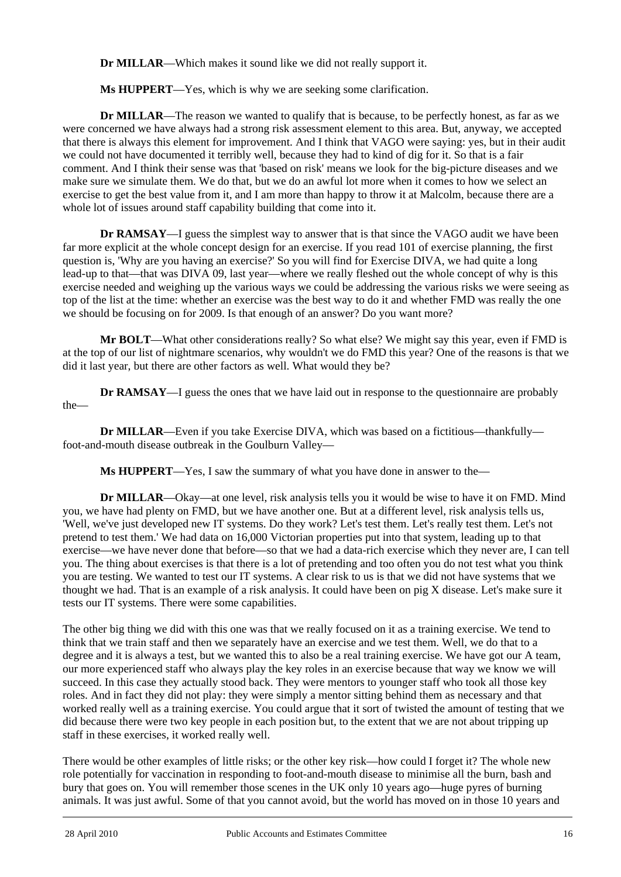**Dr MILLAR**—Which makes it sound like we did not really support it.

**Ms HUPPERT**—Yes, which is why we are seeking some clarification.

**Dr MILLAR—The reason we wanted to qualify that is because, to be perfectly honest, as far as we** were concerned we have always had a strong risk assessment element to this area. But, anyway, we accepted that there is always this element for improvement. And I think that VAGO were saying: yes, but in their audit we could not have documented it terribly well, because they had to kind of dig for it. So that is a fair comment. And I think their sense was that 'based on risk' means we look for the big-picture diseases and we make sure we simulate them. We do that, but we do an awful lot more when it comes to how we select an exercise to get the best value from it, and I am more than happy to throw it at Malcolm, because there are a whole lot of issues around staff capability building that come into it.

**Dr RAMSAY—I** guess the simplest way to answer that is that since the VAGO audit we have been far more explicit at the whole concept design for an exercise. If you read 101 of exercise planning, the first question is, 'Why are you having an exercise?' So you will find for Exercise DIVA, we had quite a long lead-up to that—that was DIVA 09, last year—where we really fleshed out the whole concept of why is this exercise needed and weighing up the various ways we could be addressing the various risks we were seeing as top of the list at the time: whether an exercise was the best way to do it and whether FMD was really the one we should be focusing on for 2009. Is that enough of an answer? Do you want more?

**Mr BOLT**—What other considerations really? So what else? We might say this year, even if FMD is at the top of our list of nightmare scenarios, why wouldn't we do FMD this year? One of the reasons is that we did it last year, but there are other factors as well. What would they be?

**Dr RAMSAY—I** guess the ones that we have laid out in response to the questionnaire are probably the—

**Dr MILLAR—Even** if you take Exercise DIVA, which was based on a fictitious—thankfully foot-and-mouth disease outbreak in the Goulburn Valley—

**Ms HUPPERT**—Yes, I saw the summary of what you have done in answer to the—

**Dr MILLAR**—Okay—at one level, risk analysis tells you it would be wise to have it on FMD. Mind you, we have had plenty on FMD, but we have another one. But at a different level, risk analysis tells us, 'Well, we've just developed new IT systems. Do they work? Let's test them. Let's really test them. Let's not pretend to test them.' We had data on 16,000 Victorian properties put into that system, leading up to that exercise—we have never done that before—so that we had a data-rich exercise which they never are, I can tell you. The thing about exercises is that there is a lot of pretending and too often you do not test what you think you are testing. We wanted to test our IT systems. A clear risk to us is that we did not have systems that we thought we had. That is an example of a risk analysis. It could have been on pig X disease. Let's make sure it tests our IT systems. There were some capabilities.

The other big thing we did with this one was that we really focused on it as a training exercise. We tend to think that we train staff and then we separately have an exercise and we test them. Well, we do that to a degree and it is always a test, but we wanted this to also be a real training exercise. We have got our A team, our more experienced staff who always play the key roles in an exercise because that way we know we will succeed. In this case they actually stood back. They were mentors to younger staff who took all those key roles. And in fact they did not play: they were simply a mentor sitting behind them as necessary and that worked really well as a training exercise. You could argue that it sort of twisted the amount of testing that we did because there were two key people in each position but, to the extent that we are not about tripping up staff in these exercises, it worked really well.

l There would be other examples of little risks; or the other key risk—how could I forget it? The whole new role potentially for vaccination in responding to foot-and-mouth disease to minimise all the burn, bash and bury that goes on. You will remember those scenes in the UK only 10 years ago—huge pyres of burning animals. It was just awful. Some of that you cannot avoid, but the world has moved on in those 10 years and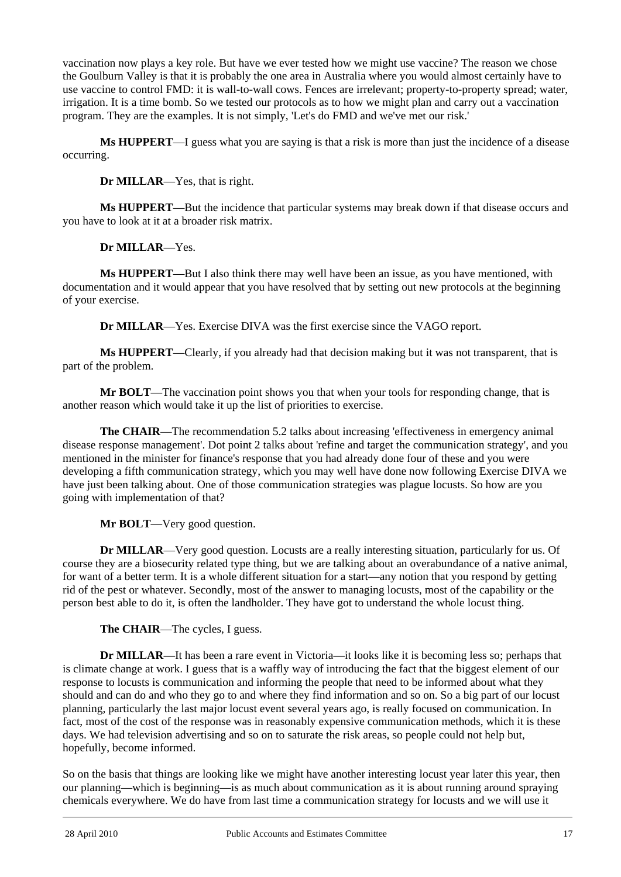vaccination now plays a key role. But have we ever tested how we might use vaccine? The reason we chose the Goulburn Valley is that it is probably the one area in Australia where you would almost certainly have to use vaccine to control FMD: it is wall-to-wall cows. Fences are irrelevant; property-to-property spread; water, irrigation. It is a time bomb. So we tested our protocols as to how we might plan and carry out a vaccination program. They are the examples. It is not simply, 'Let's do FMD and we've met our risk.'

**Ms HUPPERT**—I guess what you are saying is that a risk is more than just the incidence of a disease occurring.

**Dr MILLAR**—Yes, that is right.

**Ms HUPPERT**—But the incidence that particular systems may break down if that disease occurs and you have to look at it at a broader risk matrix.

**Dr MILLAR**—Yes.

**Ms HUPPERT**—But I also think there may well have been an issue, as you have mentioned, with documentation and it would appear that you have resolved that by setting out new protocols at the beginning of your exercise.

**Dr MILLAR**—Yes. Exercise DIVA was the first exercise since the VAGO report.

**Ms HUPPERT**—Clearly, if you already had that decision making but it was not transparent, that is part of the problem.

**Mr BOLT**—The vaccination point shows you that when your tools for responding change, that is another reason which would take it up the list of priorities to exercise.

**The CHAIR**—The recommendation 5.2 talks about increasing 'effectiveness in emergency animal disease response management'. Dot point 2 talks about 'refine and target the communication strategy', and you mentioned in the minister for finance's response that you had already done four of these and you were developing a fifth communication strategy, which you may well have done now following Exercise DIVA we have just been talking about. One of those communication strategies was plague locusts. So how are you going with implementation of that?

**Mr BOLT**—Very good question.

**Dr MILLAR**—Very good question. Locusts are a really interesting situation, particularly for us. Of course they are a biosecurity related type thing, but we are talking about an overabundance of a native animal, for want of a better term. It is a whole different situation for a start—any notion that you respond by getting rid of the pest or whatever. Secondly, most of the answer to managing locusts, most of the capability or the person best able to do it, is often the landholder. They have got to understand the whole locust thing.

**The CHAIR**—The cycles, I guess.

**Dr MILLAR**—It has been a rare event in Victoria—it looks like it is becoming less so; perhaps that is climate change at work. I guess that is a waffly way of introducing the fact that the biggest element of our response to locusts is communication and informing the people that need to be informed about what they should and can do and who they go to and where they find information and so on. So a big part of our locust planning, particularly the last major locust event several years ago, is really focused on communication. In fact, most of the cost of the response was in reasonably expensive communication methods, which it is these days. We had television advertising and so on to saturate the risk areas, so people could not help but, hopefully, become informed.

l So on the basis that things are looking like we might have another interesting locust year later this year, then our planning—which is beginning—is as much about communication as it is about running around spraying chemicals everywhere. We do have from last time a communication strategy for locusts and we will use it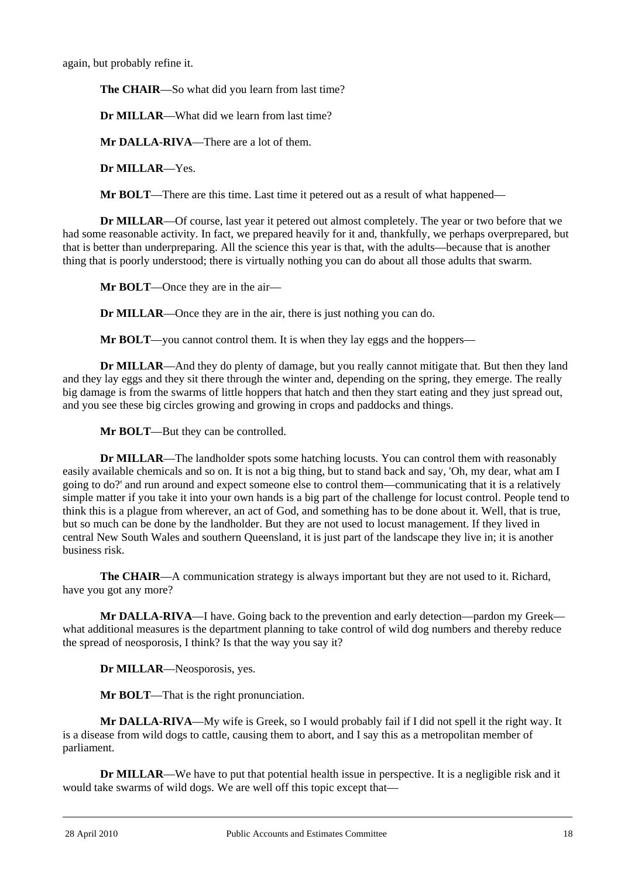again, but probably refine it.

**The CHAIR**—So what did you learn from last time?

**Dr MILLAR**—What did we learn from last time?

**Mr DALLA-RIVA**—There are a lot of them.

**Dr MILLAR**—Yes.

**Mr BOLT**—There are this time. Last time it petered out as a result of what happened—

**Dr MILLAR**—Of course, last year it petered out almost completely. The year or two before that we had some reasonable activity. In fact, we prepared heavily for it and, thankfully, we perhaps overprepared, but that is better than underpreparing. All the science this year is that, with the adults—because that is another thing that is poorly understood; there is virtually nothing you can do about all those adults that swarm.

**Mr BOLT**—Once they are in the air—

**Dr MILLAR**—Once they are in the air, there is just nothing you can do.

**Mr BOLT—you cannot control them. It is when they lay eggs and the hoppers—** 

**Dr MILLAR**—And they do plenty of damage, but you really cannot mitigate that. But then they land and they lay eggs and they sit there through the winter and, depending on the spring, they emerge. The really big damage is from the swarms of little hoppers that hatch and then they start eating and they just spread out, and you see these big circles growing and growing in crops and paddocks and things.

**Mr BOLT**—But they can be controlled.

**Dr MILLAR**—The landholder spots some hatching locusts. You can control them with reasonably easily available chemicals and so on. It is not a big thing, but to stand back and say, 'Oh, my dear, what am I going to do?' and run around and expect someone else to control them—communicating that it is a relatively simple matter if you take it into your own hands is a big part of the challenge for locust control. People tend to think this is a plague from wherever, an act of God, and something has to be done about it. Well, that is true, but so much can be done by the landholder. But they are not used to locust management. If they lived in central New South Wales and southern Queensland, it is just part of the landscape they live in; it is another business risk.

**The CHAIR**—A communication strategy is always important but they are not used to it. Richard, have you got any more?

**Mr DALLA-RIVA**—I have. Going back to the prevention and early detection—pardon my Greek what additional measures is the department planning to take control of wild dog numbers and thereby reduce the spread of neosporosis, I think? Is that the way you say it?

**Dr MILLAR**—Neosporosis, yes.

**Mr BOLT**—That is the right pronunciation.

**Mr DALLA-RIVA**—My wife is Greek, so I would probably fail if I did not spell it the right way. It is a disease from wild dogs to cattle, causing them to abort, and I say this as a metropolitan member of parliament.

**Dr MILLAR—We have to put that potential health issue in perspective. It is a negligible risk and it** would take swarms of wild dogs. We are well off this topic except that—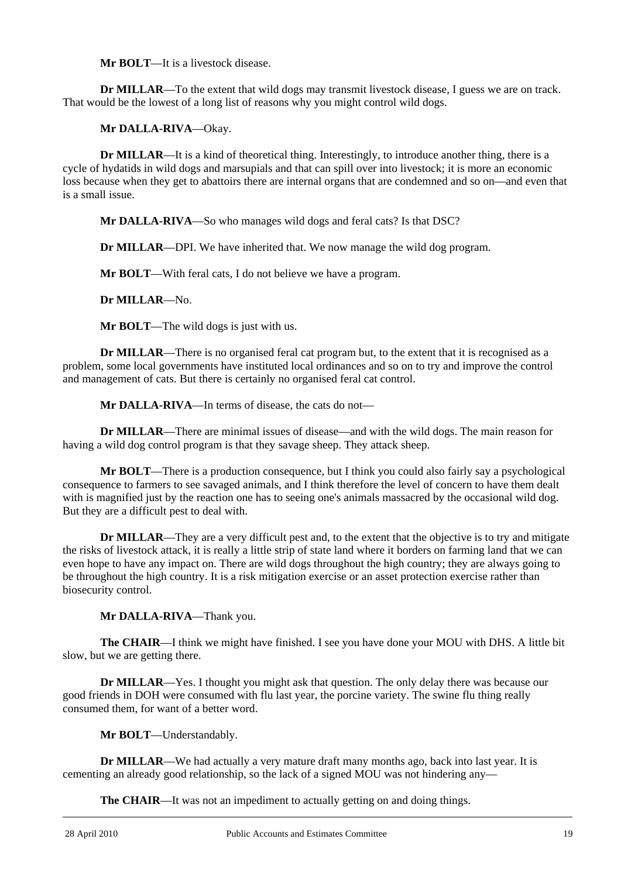**Mr BOLT—It** is a livestock disease.

**Dr MILLAR**—To the extent that wild dogs may transmit livestock disease, I guess we are on track. That would be the lowest of a long list of reasons why you might control wild dogs.

**Mr DALLA-RIVA**—Okay.

**Dr MILLAR**—It is a kind of theoretical thing. Interestingly, to introduce another thing, there is a cycle of hydatids in wild dogs and marsupials and that can spill over into livestock; it is more an economic loss because when they get to abattoirs there are internal organs that are condemned and so on—and even that is a small issue.

**Mr DALLA-RIVA**—So who manages wild dogs and feral cats? Is that DSC?

**Dr MILLAR**—DPI. We have inherited that. We now manage the wild dog program.

**Mr BOLT**—With feral cats, I do not believe we have a program.

**Dr MILLAR**—No.

**Mr BOLT**—The wild dogs is just with us.

**Dr MILLAR—There is no organised feral cat program but, to the extent that it is recognised as a** problem, some local governments have instituted local ordinances and so on to try and improve the control and management of cats. But there is certainly no organised feral cat control.

**Mr DALLA-RIVA**—In terms of disease, the cats do not—

**Dr MILLAR**—There are minimal issues of disease—and with the wild dogs. The main reason for having a wild dog control program is that they savage sheep. They attack sheep.

**Mr BOLT**—There is a production consequence, but I think you could also fairly say a psychological consequence to farmers to see savaged animals, and I think therefore the level of concern to have them dealt with is magnified just by the reaction one has to seeing one's animals massacred by the occasional wild dog. But they are a difficult pest to deal with.

**Dr MILLAR—They are a very difficult pest and, to the extent that the objective is to try and mitigate** the risks of livestock attack, it is really a little strip of state land where it borders on farming land that we can even hope to have any impact on. There are wild dogs throughout the high country; they are always going to be throughout the high country. It is a risk mitigation exercise or an asset protection exercise rather than biosecurity control.

**Mr DALLA-RIVA**—Thank you.

**The CHAIR**—I think we might have finished. I see you have done your MOU with DHS. A little bit slow, but we are getting there.

**Dr MILLAR—Yes.** I thought you might ask that question. The only delay there was because our good friends in DOH were consumed with flu last year, the porcine variety. The swine flu thing really consumed them, for want of a better word.

**Mr BOLT**—Understandably.

**Dr MILLAR**—We had actually a very mature draft many months ago, back into last year. It is cementing an already good relationship, so the lack of a signed MOU was not hindering any—

**The CHAIR**—It was not an impediment to actually getting on and doing things.